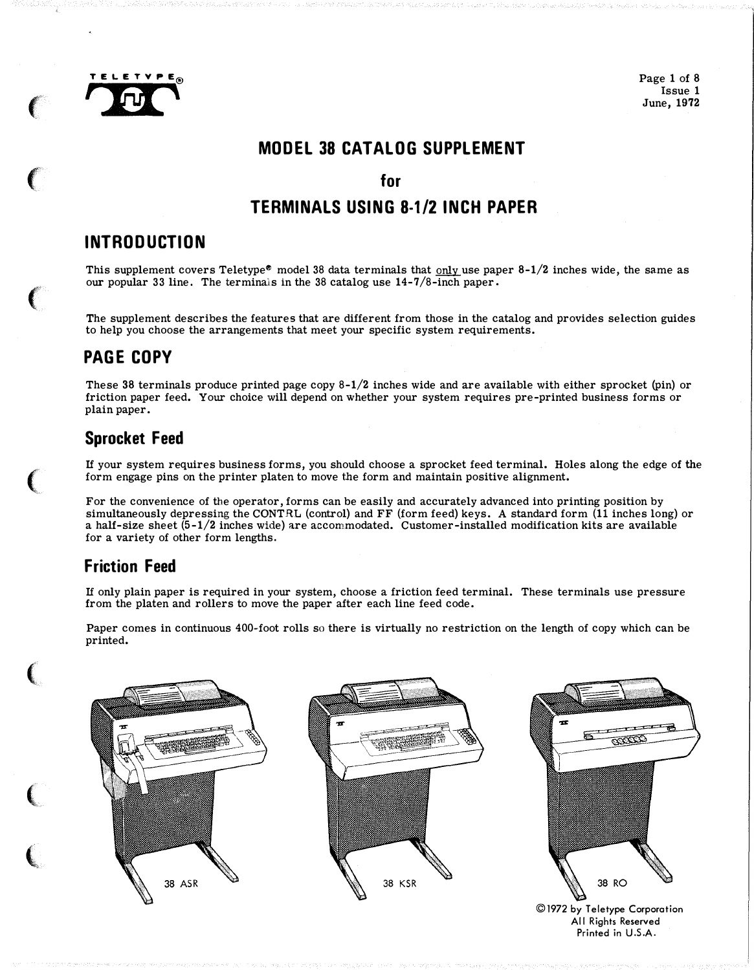

 $\epsilon$ 

 $\left($ 

 $\big($ 

 $\big($ 

 $\big($ 

 $\overline{\mathbb{C}}$ 

 $\big($ 

Page 1 of 8 Issue 1 June, 1972

## MODEL 38 CATALOG SUPPLEMENT

#### for

## TERMINALS USING 8-1/2 INCH PAPER

## INTRODUCTION

This supplement covers Teletype<sup>®</sup> model 38 data terminals that only use paper  $8-1/2$  inches wide, the same as our popular 33 line. The terminals in the 38 catalog use  $14-7/8$ -inch paper.

The supplement describes the features that are different from those in the catalog and provides selection guides to help you choose the arrangements that meet your specific system requirements.

## PAGE COPY

These 38 terminals produce printed page copy  $8-1/2$  inches wide and are available with either sprocket (pin) or friction paper feed. Your choice will depend on whether your system requires pre-printed business forms or plain paper.

## Sprocket Feed

If your system requires business forms, you should choose a sprocket feed terminal. Holes along the edge of the form engage pins on the printer platen to move the form and maintain positive alignment.

For the convenience of the operator, forms can be easily and accurately advanced into printing position by simultaneously depressing the CONTRL (control) and FF (form feed) keys. A standard form (11 inches long) or a half-size sheet  $(5-1/2)$  inches wide) are accommodated. Customer-installed modification kits are available for a variety of other form lengths.

## Friction Feed

If only plain paper is required in your system, choose a friction feed terminal. These terminals use pressure from the platen and rollers to move the paper after each line feed code.

Paper comes in continuous 400-foot rolls so there is virtually no restriction on the length of copy which can be printed.

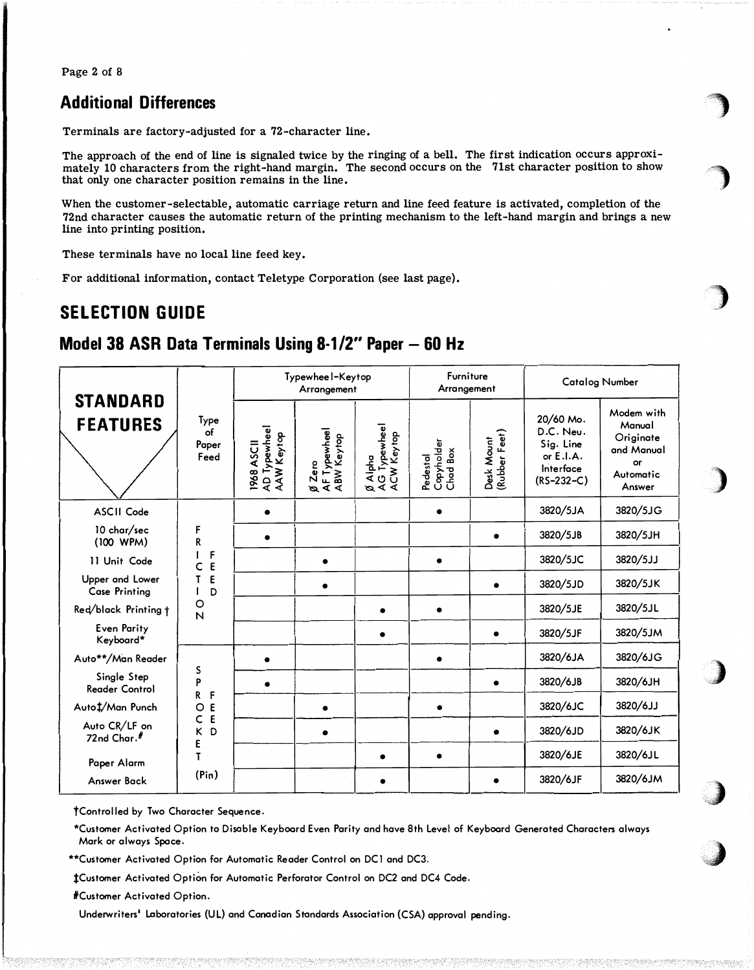Page 2 of 8

### **Additional Differences**

Terminals are factory-adjusted for a 72-character line.

The approach of the end of line is signaled twice by the ringing of a bell. The first indication occurs approximately 10 characters from the right-hand margin. The second occurs on the 71st character position to show that only one character position remains in the line.

When the customer-selectable, automatic carriage return and line feed feature is activated, completion of the 72nd character causes the automatic return of the printing mechanism to the left-hand margin and brings a new line into printing position.

These terminals have no local line feed key.

For additional information, contact Teletype Corporation (see last page).

## **SELECTION GUIDE**

## Model 38 ASR Data Terminals Using 8-1/2" Paper - 60 Hz

| <b>STANDARD</b><br><b>FEATURES</b>      |                                                                   |                                          | Typewhee I-Keytop<br>Arrangement             |                                       | <b>Furniture</b><br>Arrangement    |                             | <b>Catalog Number</b>                                                           |                                                                              |
|-----------------------------------------|-------------------------------------------------------------------|------------------------------------------|----------------------------------------------|---------------------------------------|------------------------------------|-----------------------------|---------------------------------------------------------------------------------|------------------------------------------------------------------------------|
|                                         | Type<br>of<br>Paper<br>Feed                                       | AD Typewheel<br>AAW Keytop<br>1968 ASC11 | <i>Ø</i> Zero<br>AF Typewhee I<br>ABW Keytop | Ø Alpha<br>AG Typewheel<br>ACW Keytop | Copyholder<br>Chad Box<br>Pedestal | Desk Mount<br>(Rubber Feet) | 20/60 Mo.<br>D.C. Neu.<br>Sig. Line<br>or $E.I.A.$<br>Interface<br>$(RS-232-C)$ | Modem with<br>Manual<br>Originate<br>and Manual<br>or<br>Automatic<br>Answer |
| <b>ASCII Code</b>                       | F<br>R<br>F<br>E<br>c<br>E<br>T<br>D<br>ı<br>O<br>N               |                                          |                                              |                                       |                                    |                             | 3820/5JA                                                                        | 3820/5JG                                                                     |
| 10 char/sec<br>(100 WPM)                |                                                                   | $\bullet$                                |                                              |                                       |                                    |                             | 3820/5JB                                                                        | 3820/5JH                                                                     |
| 11 Unit Code                            |                                                                   |                                          |                                              |                                       |                                    |                             | 3820/5JC                                                                        | 3820/5JJ                                                                     |
| Upper and Lower<br><b>Case Printing</b> |                                                                   |                                          | $\bullet$                                    |                                       |                                    |                             | 3820/5JD                                                                        | 3820/5JK                                                                     |
| Red/black Printing t                    |                                                                   |                                          |                                              | $\bullet$                             |                                    |                             | 3820/5JE                                                                        | 3820/5JL                                                                     |
| <b>Even Parity</b><br>Keyboard*         |                                                                   |                                          |                                              | $\bullet$                             |                                    | $\bullet$                   | 3820/5JF                                                                        | 3820/5JM                                                                     |
| Auto**/Man Reader                       |                                                                   |                                          |                                              |                                       |                                    |                             | 3820/6JA                                                                        | 3820/6JG                                                                     |
| Single Step<br><b>Reader Control</b>    | S<br>P<br>R<br>F<br>E<br>O<br>E<br>c<br>D<br>K<br>E<br>T<br>(Pin) | $\bullet$                                |                                              |                                       |                                    | $\bullet$                   | 3820/6JB                                                                        | 3820/6JH                                                                     |
| Auto#Man Punch                          |                                                                   |                                          |                                              |                                       |                                    |                             | 3820/6JC                                                                        | 3820/6JJ                                                                     |
| Auto CR/LF on<br>72nd Char.#            |                                                                   |                                          |                                              |                                       |                                    | $\bullet$                   | 3820/6JD                                                                        | 3820/6JK                                                                     |
| Paper Alarm                             |                                                                   |                                          |                                              |                                       |                                    |                             | 3820/6JE                                                                        | 3820/6JL                                                                     |
| Answer Back                             |                                                                   |                                          |                                              |                                       |                                    |                             | 3820/6JF                                                                        | 3820/6JM                                                                     |

†Controlled by Two Character Sequence.

\*Customer Activated Option to Disable Keyboard Even Parity and have 8th Level of Keyboard Generated Characters always Mark or always Space.

\*\*Customer Activated Option for Automatic Reader Control on DC1 and DC3.

1Customer Activated Option for Automatic Perforator Control on DC2 and DC4 Code.

#Customer Activated Option.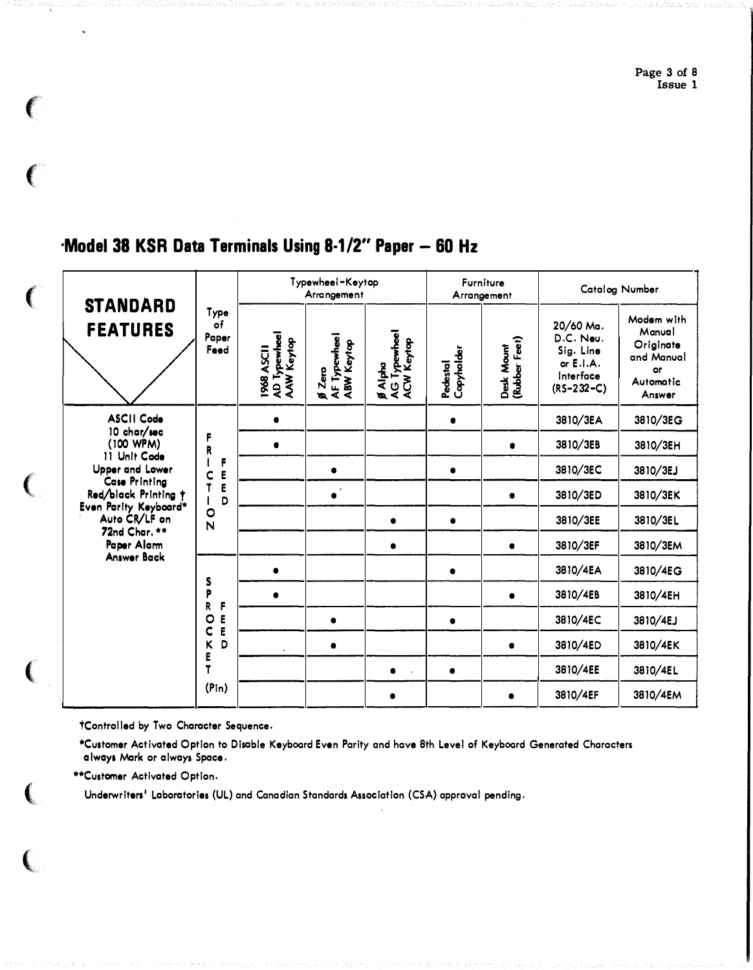Page 3 of 8 Issue 1

# 'Model 38 KSR Data Terminals Using 8-1/2" Paper - 60 Hz

|         | <b>STANDARD</b><br><b>FEATURES</b>                                                                                                                                                                                              | Type<br>of<br>Paper<br>Feed                               | Typewheei-Keytop<br>Arrangement         |                                            |                                       | Furniture<br>Arrangement |                             | Catalog Number                                                                |                                                                              |
|---------|---------------------------------------------------------------------------------------------------------------------------------------------------------------------------------------------------------------------------------|-----------------------------------------------------------|-----------------------------------------|--------------------------------------------|---------------------------------------|--------------------------|-----------------------------|-------------------------------------------------------------------------------|------------------------------------------------------------------------------|
|         |                                                                                                                                                                                                                                 |                                                           | AD Typewhee<br>AAW Keytop<br>1968 ASC11 | AF Typewheel<br>ABW Keytop<br>$\beta$ Zero | g Alpha<br>AG Typewheel<br>ACW Keytop | Copyholder<br>Pedestal   | Desk Mount<br>(Rubber Feet) | 20/60 Ma.<br>D.C. Neu.<br>Sig. Line<br>or E.I.A.<br>Interface<br>$(RS-232-C)$ | Modem with<br>Manual<br>Originate<br>and Manual<br>or<br>Automatic<br>Answer |
|         | <b>ASCII Code</b><br>10 char/sec<br>(100 WPM)<br>11 Unit Code<br>Upper and Lower<br><b>Case Printing</b><br>Red/black Printing +<br>Even Parity Keyboard*<br>Auto CR/LF on<br>72nd Char. **<br>Paper Alam<br><b>Answer Back</b> |                                                           |                                         |                                            |                                       |                          |                             | 3810/3EA                                                                      | 3810/3EG                                                                     |
|         |                                                                                                                                                                                                                                 | F<br>R<br>F<br>E<br>C<br>E<br>D<br>$\circ$<br>$\mathbf N$ | $\bullet$                               |                                            |                                       |                          |                             | 3810/3EB                                                                      | 3810/3EH                                                                     |
|         |                                                                                                                                                                                                                                 |                                                           |                                         |                                            |                                       |                          |                             | 3810/3EC                                                                      | 3810/3EJ                                                                     |
| i<br>Ka |                                                                                                                                                                                                                                 |                                                           |                                         | $\bullet$                                  |                                       |                          | $\bullet$                   | 3810/3ED                                                                      | 3810/3EK                                                                     |
|         |                                                                                                                                                                                                                                 |                                                           |                                         |                                            | $\bullet$                             |                          |                             | 3810/3EE                                                                      | 3810/3EL                                                                     |
|         |                                                                                                                                                                                                                                 |                                                           |                                         |                                            | $\bullet$                             |                          | $\bullet$                   | 3810/3EF                                                                      | 3810/3EM                                                                     |
|         |                                                                                                                                                                                                                                 | S<br>P<br>R<br>F                                          | $\bullet$                               |                                            |                                       |                          |                             | 3810/4EA                                                                      | 3810/4EG                                                                     |
|         |                                                                                                                                                                                                                                 |                                                           |                                         |                                            |                                       |                          |                             | 3810/4EB                                                                      | 3810/4EH                                                                     |
|         |                                                                                                                                                                                                                                 | E<br>$\circ$<br>E<br>C                                    |                                         | $\bullet$                                  |                                       |                          |                             | 3810/4EC                                                                      | 3810/4EJ                                                                     |
|         |                                                                                                                                                                                                                                 | D<br>K<br>E                                               |                                         | $\bullet$                                  |                                       |                          |                             | 3810/4ED                                                                      | 3810/4EK                                                                     |
|         |                                                                                                                                                                                                                                 | T                                                         |                                         |                                            | $\bullet$                             | $\bullet$                |                             | 3810/4EE                                                                      | 3810/4EL                                                                     |
|         |                                                                                                                                                                                                                                 | (Pin)                                                     |                                         |                                            | $\bullet$                             |                          | $\bullet$                   | 3810/4EF                                                                      | 3810/4EM                                                                     |

tControlled by Two Character Sequence.

\*Customer Activated Option to Disable Keyboard Even Parity and have 8th Level of Keyboard Generated Characters always Mark or always Space.

\*\*Customer Activated Option.

 $\big($ 

 $\overline{(\ }$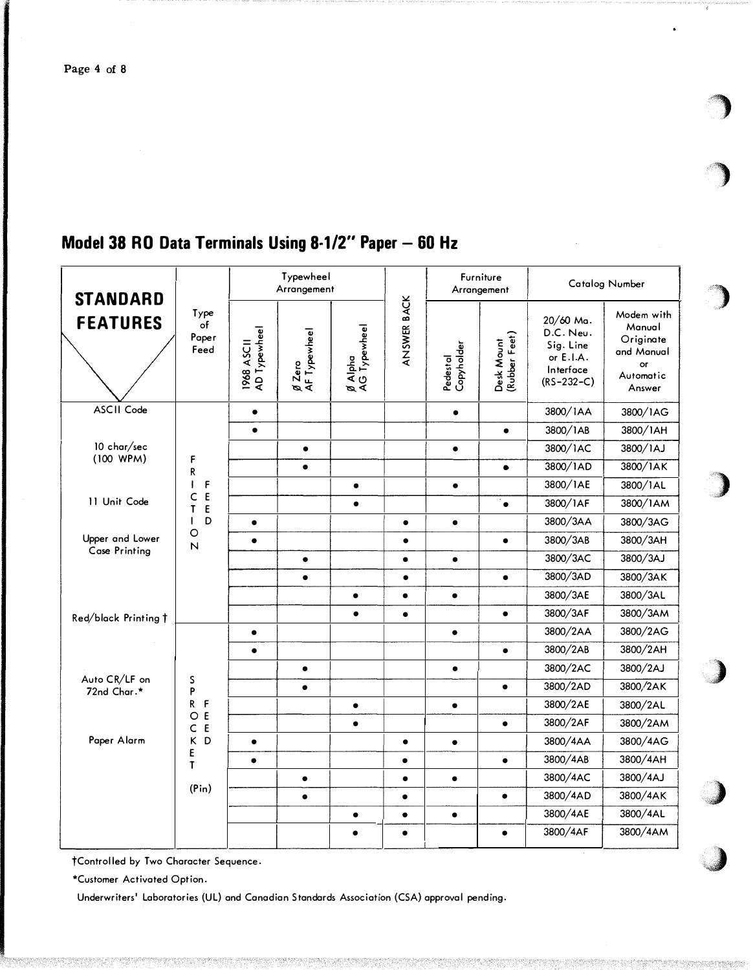| <b>STANDARD</b><br><b>FEATURES</b>           | Type<br>of<br>Paper<br>Feed                                                 | Typewheel<br>Arrangement   |                               |                         |             | Furniture<br>Arrangement |                             | <b>Catalog Number</b>                                                         |                                                                                     |
|----------------------------------------------|-----------------------------------------------------------------------------|----------------------------|-------------------------------|-------------------------|-------------|--------------------------|-----------------------------|-------------------------------------------------------------------------------|-------------------------------------------------------------------------------------|
|                                              |                                                                             | AD Typewheel<br>1968 ASC11 | <i>g</i> Zero<br>AF Typewheel | Ø Alpha<br>AG Typewheel | ANSWER BACK | Pedestal<br>Copyholder   | Desk Mount<br>(Rubber Feet) | 20/60 Ma.<br>D.C. Neu.<br>Sig. Line<br>or E.I.A.<br>Interface<br>$(RS-232-C)$ | Modem with<br>Manual<br>Originate<br>and Manual<br><b>or</b><br>Automatic<br>Answer |
| ASCII Code                                   |                                                                             | $\bullet$                  |                               |                         |             | $\bullet$                |                             | 3800/IAA                                                                      | 3800/1AG                                                                            |
|                                              |                                                                             | $\bullet$                  |                               |                         |             |                          | $\bullet$                   | 3800/1AB                                                                      | 3800/1AH                                                                            |
| 10 char/sec                                  |                                                                             |                            | $\bullet$                     |                         |             | $\bullet$                |                             | 3800/1AC                                                                      | 3800/1AJ                                                                            |
| (100 WPM)                                    | F<br>R                                                                      |                            | $\bullet$                     |                         |             |                          | $\bullet$                   | 3800/1AD                                                                      | 3800/1AK                                                                            |
|                                              | F<br>$\mathbf{I}$                                                           |                            |                               | $\bullet$               |             | $\bullet$                |                             | 3800/1AE                                                                      | 3800/1AL                                                                            |
| 11 Unit Code                                 | E<br>c<br>T<br>E<br>D                                                       |                            |                               | $\bullet$               |             |                          | $\bullet$                   | 3800/1AF                                                                      | 3800/1AM                                                                            |
|                                              |                                                                             | $\bullet$                  |                               |                         | $\bullet$   | $\bullet$                |                             | 3800/3AA                                                                      | 3800/3AG                                                                            |
| Upper and Lower                              | O<br>N                                                                      | $\bullet$                  |                               |                         | $\bullet$   |                          | $\bullet$                   | 3800/3AB                                                                      | 3800/3AH                                                                            |
| <b>Case Printing</b><br>Red/black Printing t |                                                                             |                            | $\bullet$                     |                         | $\bullet$   | $\bullet$                |                             | 3800/3AC                                                                      | 3800/3AJ                                                                            |
|                                              |                                                                             |                            | $\bullet$                     |                         | $\bullet$   |                          | $\bullet$                   | 3800/3AD                                                                      | 3800/3AK                                                                            |
|                                              |                                                                             |                            |                               | $\bullet$               | $\bullet$   | $\bullet$                |                             | 3800/3AE                                                                      | 3800/3AL                                                                            |
|                                              |                                                                             |                            |                               | $\bullet$               | $\bullet$   |                          | $\bullet$                   | 3800/3AF                                                                      | 3800/3AM                                                                            |
|                                              | S<br>P<br>R<br>F<br>E<br>O<br>E<br>$\mathsf C$<br>K<br>D<br>E<br>T<br>(Pin) | $\bullet$                  |                               |                         |             | $\bullet$                |                             | 3800/2AA                                                                      | 3800/2AG                                                                            |
|                                              |                                                                             |                            |                               |                         |             |                          | $\bullet$                   | 3800/2AB                                                                      | 3800/2AH                                                                            |
|                                              |                                                                             |                            | $\bullet$                     |                         |             | $\bullet$                |                             | 3800/2AC                                                                      | 3800/2AJ                                                                            |
| Auto CR/LF on<br>72nd Char.*                 |                                                                             |                            | $\bullet$                     |                         |             |                          | $\bullet$                   | 3800/2AD                                                                      | 3800/2AK                                                                            |
|                                              |                                                                             |                            |                               | $\bullet$               |             | $\bullet$                |                             | 3800/2AE                                                                      | 3800/2AL                                                                            |
|                                              |                                                                             |                            |                               | $\bullet$               |             |                          | $\bullet$                   | 3800/2AF                                                                      | 3800/2AM                                                                            |
| Paper Alarm                                  |                                                                             | $\bullet$                  |                               |                         | $\bullet$   | $\bullet$                |                             | 3800/4AA                                                                      | 3800/4AG                                                                            |
|                                              |                                                                             | $\bullet$                  |                               |                         | $\bullet$   |                          | $\bullet$                   | 3800/4AB                                                                      | 3800/4AH                                                                            |
|                                              |                                                                             |                            | $\bullet$                     |                         | $\bullet$   | $\bullet$                |                             | 3800/4AC                                                                      | 3800/4AJ                                                                            |
|                                              |                                                                             |                            | $\bullet$                     |                         | $\bullet$   |                          | $\bullet$                   | 3800/4AD                                                                      | 3800/4AK                                                                            |
|                                              |                                                                             |                            |                               | $\bullet$               | $\bullet$   | $\bullet$                |                             | 3800/4AE                                                                      | 3800/4AL                                                                            |
|                                              |                                                                             |                            |                               | $\bullet$               | $\bullet$   |                          | $\bullet$                   | 3800/4AF                                                                      | 3800/4AM                                                                            |

# Model 38 RO Data Terminals Using 8-1/2" Paper - 60 Hz

†Controlled by Two Character Sequence.

\*Customer Activated Option.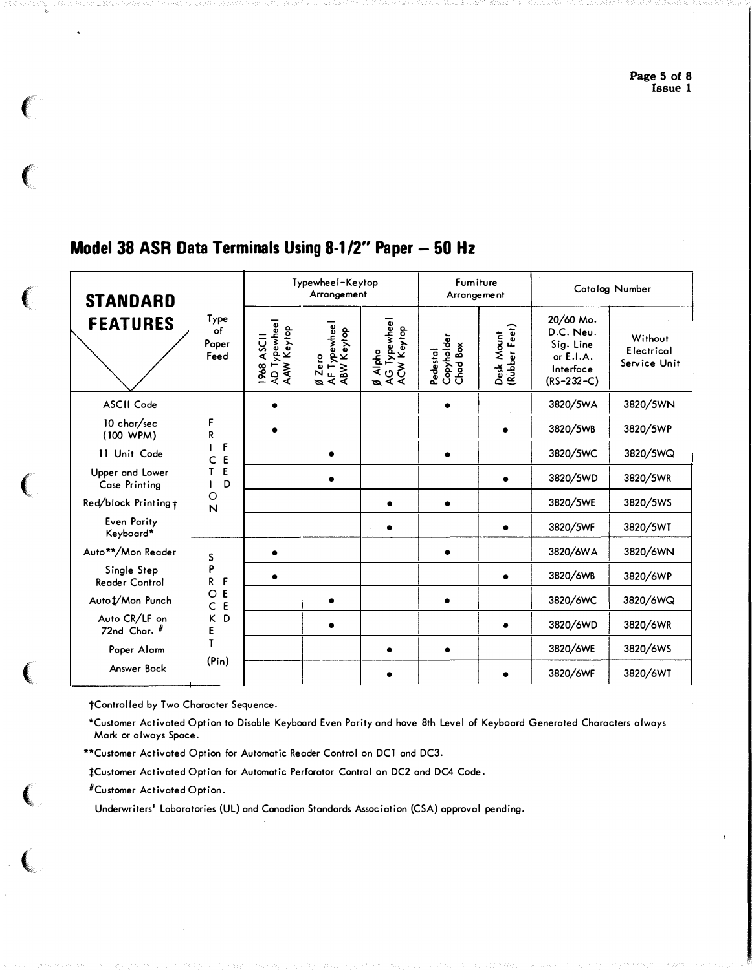#### Typewheel-Keytop Furniture Catalog Number Arrangement Arrangement **STANDARD** Ø Alpha<br>AG Typewheel<br>ACW Keytop Type 20/60 Mo. **FEATURES** 1968 ASCII<br>AD Typewhee I<br>AAW Keytop | Ø Zero<br>| AF Typewhee |<br>| ABW Keytop Desk Mount<br>(Rubber Feet)  $\overline{of}$ D.C. Neu. Pedestal<br>Copyholder<br>Chad Box Without Paper Sig. Line Electrical Feed or E.I.A. Service Unit Interface  $(RS-232-C)$ **ASCII Code** 3820/5WA 3820/5WN  $\bullet$  $\bullet$ 10 char/sec F 3820/5WB 3820/5WP  $\bullet$  $\bullet$  ${\sf R}$  $(100 WPM)$  $\mathsf F$  $\mathbf{I}$ 3820/5WC 3820/5WQ 11 Unit Code  $\bullet$  $\bullet$  $C E$ Upper and Lower  $\mathbf{T}$ E 3820/5WD 3820/5WR  $\bullet$  $\bullet$ Case Printina  $\mathbf{I}$ D  $\circ$ 3820/5WE Red/block Printing + 3820/5WS  $\bullet$  $\bullet$  $\overline{\mathsf{N}}$ Even Parity 3820/5WF 3820/5WT  $\bullet$  $\bullet$ Keyboard\* 3820/6WA 3820/6WN Auto\*\*/Mon Reader  $\bullet$  $\bullet$ S P Single Step 3820/6WP 3820/6WB  $\bullet$  $\bullet$  $\mathsf{F}$  $\mathsf{R}$ **Reader Control**  $O E$ Auto 1/Mon Punch 3820/6WC 3820/6WQ  $\bullet$  $\bullet$  $\mathsf{C}$  $E$ Auto CR/LF on K<sub>D</sub> 3820/6WD 3820/6WR  $\bullet$  $\bullet$ 72nd Char.  $#$  $\mathsf{E}$  $\mathsf T$ 3820/6WS Paper Alarm 3820/6WE  $\bullet$  $\bullet$  $(Pin)$ Answer Bock 3820/6WF 3820/6WT  $\bullet$  $\bullet$

## Model 38 ASR Data Terminals Using 8-1/2" Paper - 50 Hz

†Controlled by Two Character Sequence.

\*Customer Activated Option to Disable Keyboard Even Parity and hove 8th Level of Keyboard Generated Characters always Mark or always Space.

\*\*Customer Activated Option for Automatic Reader Control on DC1 and DC3.

**ICustomer Activated Option for Automatic Perforator Control on DC2 and DC4 Code.** 

#Customer Activated Option.

 $\left($ 

 $\big($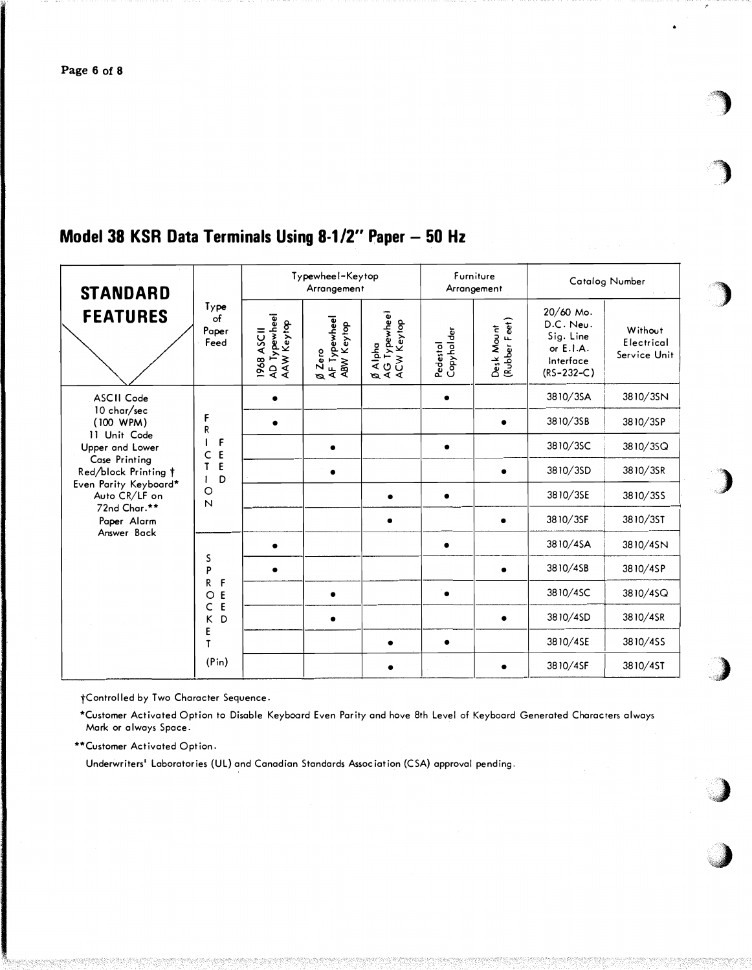## Model 38 KSR Data Terminals Using 8-1/2" Paper - 50 Hz

| <b>STANDARD</b><br><b>FEATURES</b>                                                                                                                               | Type<br>of<br>Paper<br>Feed                                       | Typewheel-Keytop<br>Arrangement         |                                            |                                       | Furniture<br>Arrangement |                             | Catalog Number                                                                  |                                       |
|------------------------------------------------------------------------------------------------------------------------------------------------------------------|-------------------------------------------------------------------|-----------------------------------------|--------------------------------------------|---------------------------------------|--------------------------|-----------------------------|---------------------------------------------------------------------------------|---------------------------------------|
|                                                                                                                                                                  |                                                                   | AD Typewhee<br>AAW Keytop<br>1968 ASC11 | AF Typewheel<br>ABW Keytop<br>$\beta$ Zero | AG Typewheel<br>ACW Keytop<br>Ø Alpha | Pedestol<br>Copyholder   | Desk Mount<br>(Rubber Feet) | 20/60 Mo.<br>D.C. Neu.<br>Sig. Line<br>or $E.I.A.$<br>Interface<br>$(RS-232-C)$ | Without<br>Electrical<br>Service Unit |
| ASCII Code                                                                                                                                                       | F<br>R<br>F<br>E<br>C<br>E<br>T<br>D<br>O<br>$\overline{N}$       |                                         |                                            |                                       |                          |                             | 3810/3SA                                                                        | 3810/3SN                              |
| 10 char/sec<br>(100 WPM)                                                                                                                                         |                                                                   |                                         |                                            |                                       |                          |                             | 3810/3SB                                                                        | 3810/3SP                              |
| 11 Unit Code<br>Upper and Lower<br>Case Printing<br>Red/block Printing †<br>Even Parity Keyboard*<br>Auto CR/LF on<br>72nd Char.**<br>Paper Alarm<br>Answer Back |                                                                   |                                         |                                            |                                       |                          |                             | 3810/3SC                                                                        | 3810/35Q                              |
|                                                                                                                                                                  |                                                                   |                                         |                                            |                                       |                          |                             | 3810/3SD                                                                        | 3810/3SR                              |
|                                                                                                                                                                  |                                                                   |                                         |                                            | $\bullet$                             | $\bullet$                |                             | 3810/3SE                                                                        | 3810/355                              |
|                                                                                                                                                                  |                                                                   |                                         |                                            | $\bullet$                             |                          |                             | 3810/3SF                                                                        | 3810/3ST                              |
|                                                                                                                                                                  | S<br>P<br>R<br>F<br>E<br>O<br>E<br>C<br>D<br>κ<br>E<br>T<br>(Pin) |                                         |                                            |                                       |                          |                             | 3810/4SA                                                                        | 3810/4SN                              |
|                                                                                                                                                                  |                                                                   |                                         |                                            |                                       |                          |                             | 3810/4SB                                                                        | 3810/4SP                              |
|                                                                                                                                                                  |                                                                   |                                         |                                            |                                       |                          |                             | 3810/4SC                                                                        | 3810/4SQ                              |
|                                                                                                                                                                  |                                                                   |                                         | $\bullet$                                  |                                       |                          |                             | 3810/4SD                                                                        | 3810/4SR                              |
|                                                                                                                                                                  |                                                                   |                                         |                                            | $\bullet$                             | $\bullet$                |                             | 3810/4SE                                                                        | 3810/4SS                              |
|                                                                                                                                                                  |                                                                   |                                         |                                            |                                       |                          |                             | 3810/4SF                                                                        | 3810/4ST                              |

+Controlled by Two Character Sequence.

\*Customer Activated Option to Disable Keyboard Even Parity and hove 8th Level of Keyboard Generated Characters always Mark or always Space.

\*\*Customer Activated Option.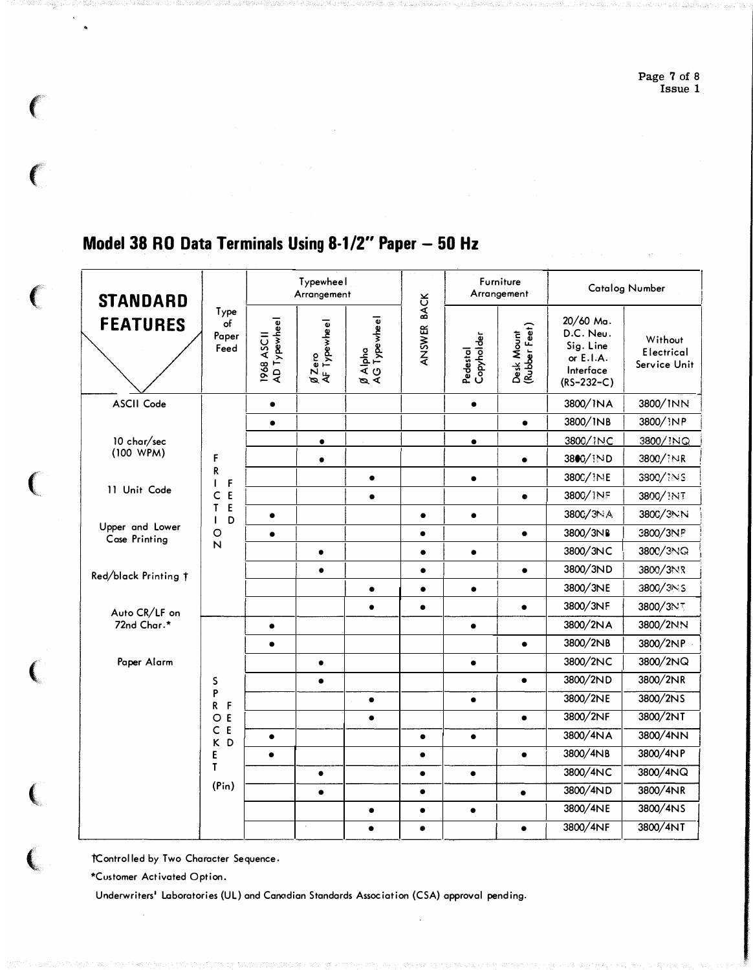#### Typewheel Furniture **Catalog Number** Arrangement Arrangement **BACK STANDARD** Type Ø Alpha<br>AG Typewheel 1968 ASCII<br>AD Typewheel 20/60 Ma. **FEATURES** Ø Zero<br>AF Typewheel of Desk Mount<br>(Rubber Feet) ANSWER D.C. Neu. Paper Pedestal<br>Copyholder Without Sig. Line Feed Electrical or E.I.A. Service Unit Interface  $(RS-232-C)$ **ASCII Code**  $\bullet$  $\bullet$ 3800/INA 3800/INN 3800/INB 3800/iNP  $\bullet$  $\bullet$ 10 char/sec 3800/INC 3800/INQ  $\bullet$  $\bullet$  $(100 WPM)$  $\mathsf F$  $\bullet$  $\bullet$ 3800/IND 3800/INR R 3800/1NS  $\bullet$ 3800/ INE  $\bullet$  $\mathsf F$  $\mathbf{I}$ 11 Unit Code  $C E$ 3800/INF 3800/INT  $\bullet$  $\bullet$  $\mathsf E$  $\mathsf{T}$ 3800/3NA 3800/3NN  $\bullet$  $\bullet$  $\bullet$ D  $\mathbf{I}$ Upper and Lower  $\circ$ 3800/3NB 3800/3NP  $\bullet$  $\bullet$  $\bullet$ Case Printing  $\mathsf{N}$ 3800/3NC 3800/3NQ  $\bullet$  $\bullet$  $\bullet$ 3800/3ND 3800/3NR  $\bullet$  $\bullet$  $\bullet$ Red/black Printing t 3800/3NE 3800/3NS  $\bullet$  $\bullet$  $\bullet$ 3800/3NF  $\bullet$  $\bullet$ 3800/3NT  $\bullet$ Auto CR/LF on 72nd Char.\* 3800/2NA 3800/2NN  $\bullet$  $\bullet$ 3800/2NB 3800/2NP  $\bullet$  $\bullet$ Paper Alarm 3800/2NC 3800/2NQ  $\bullet$  $\bullet$ 3800/2ND 3800/2NR  $\bullet$  $\sf S$  $\bullet$ P 3800/2NE 3800/2NS  $\bullet$  $\bullet$  $R$   $F$ 3800/2NF 3800/2NT  $O E$  $\bullet$  $\bullet$  $C E$ 3800/4NA 3800/4NN  $\bullet$  $\bullet$  $\bullet$ K D 3800/4NB 3800/4NP E  $\bullet$  $\bullet$  $\bullet$  $\mathsf T$ 3800/4NC 3800/4NQ  $\bullet$  $\bullet$  $\bullet$  $(Pin)$ 3800/4ND 3800/4NR  $\bullet$  $\bullet$  $\bullet$ 3800/4NE 3800/4NS  $\bullet$  $\bullet$  $\bullet$ 3800/4NF 3800/4NT  $\bullet$  $\bullet$  $\bullet$

## Model 38 RO Data Terminals Using 8-1/2" Paper - 50 Hz

tControlled by Two Character Sequence.

\*Customer Activated Option.

€